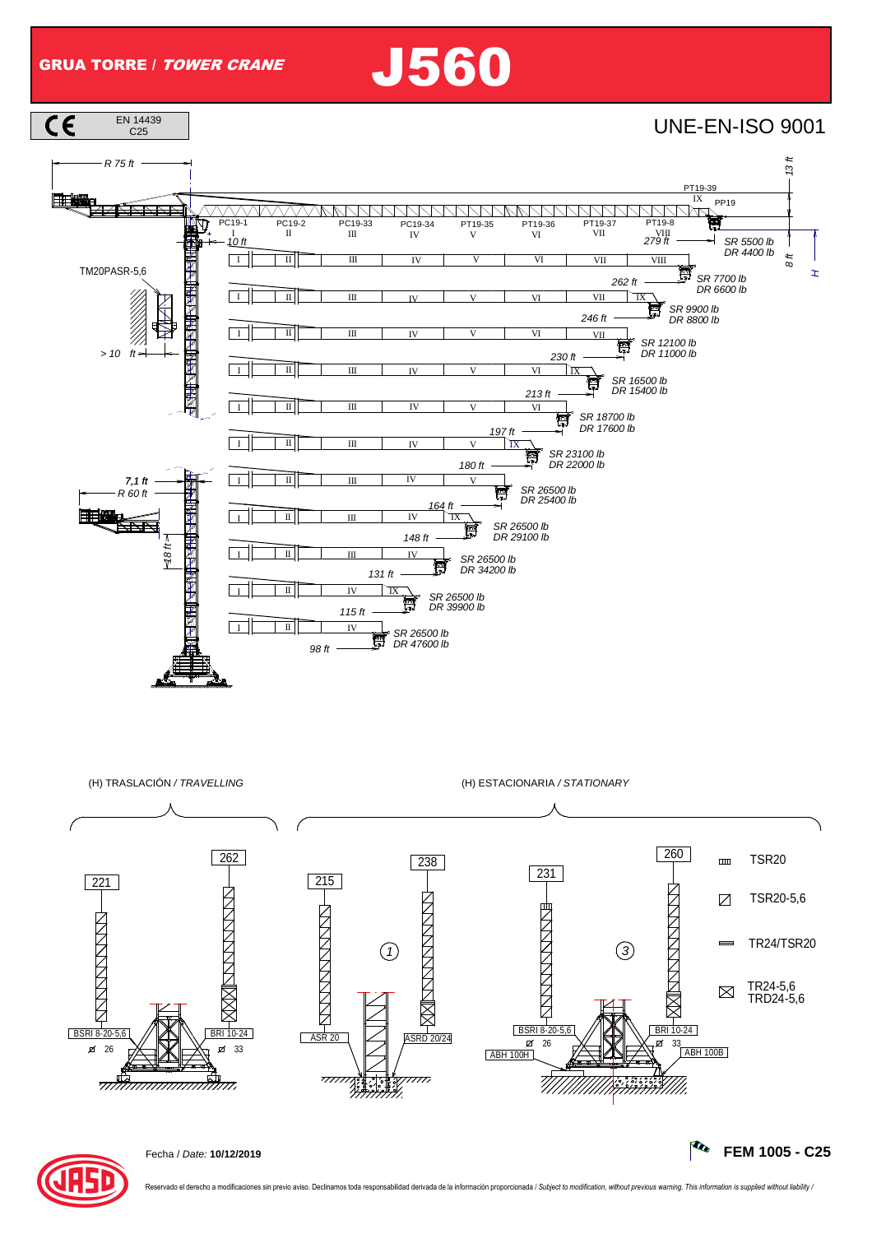GRUA TORRE / TOWER CRANE J560







Fecha / Date: **10/12/2019 FEM 1005 - C25**

vado el derecho a modificaciones sin previo aviso. Declinamos toda responsabilidad derivada de la información proporcionada / Subject to modification, without previous warning. This information is supplied without liabilit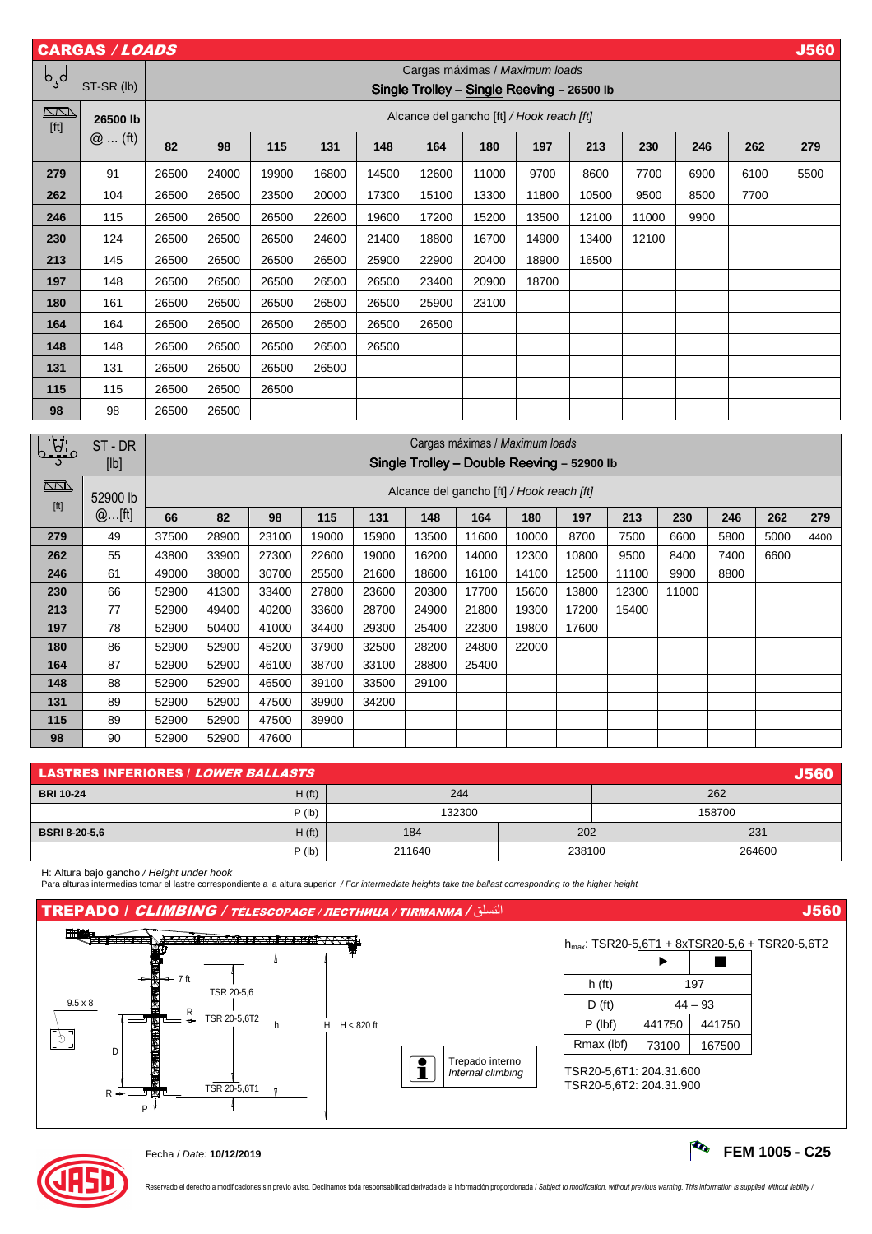| <b>CARGAS / LOADS</b><br><b>J560</b> |                      |                                            |                                                                              |       |       |       |                          |                                           |                          |                          |        |                          |                          |      |                          |
|--------------------------------------|----------------------|--------------------------------------------|------------------------------------------------------------------------------|-------|-------|-------|--------------------------|-------------------------------------------|--------------------------|--------------------------|--------|--------------------------|--------------------------|------|--------------------------|
| لمہا                                 |                      | Cargas máximas / Maximum loads             |                                                                              |       |       |       |                          |                                           |                          |                          |        |                          |                          |      |                          |
|                                      | ST-SR (lb)           | Single Trolley - Single Reeving - 26500 lb |                                                                              |       |       |       |                          |                                           |                          |                          |        |                          |                          |      |                          |
| $\Box$<br>[ft]                       | 26500 lb<br>$@$ (ft) |                                            | Alcance del gancho [ft] / Hook reach [ft]                                    |       |       |       |                          |                                           |                          |                          |        |                          |                          |      |                          |
|                                      |                      | 82                                         | 98                                                                           | 115   | 131   | 148   | 164                      | 180                                       | 197                      | 213                      | 230    | 246                      |                          | 262  | 279                      |
| 279                                  | 91                   | 26500                                      | 24000                                                                        | 19900 | 16800 | 14500 | 12600                    | 11000                                     | 9700                     | 8600                     | 7700   | 6900                     |                          | 6100 | 5500                     |
| 262                                  | 104                  | 26500                                      | 26500                                                                        | 23500 | 20000 | 17300 | 15100                    | 13300                                     | 11800                    | 10500                    | 9500   | 8500                     |                          | 7700 |                          |
| 246                                  | 115                  | 26500                                      | 26500                                                                        | 26500 | 22600 | 19600 | 17200                    | 15200                                     | 13500                    | 12100                    | 11000  | 9900                     |                          |      |                          |
| 230                                  | 124                  | 26500                                      | 26500                                                                        | 26500 | 24600 | 21400 | 18800                    | 16700                                     | 14900                    | 13400                    | 12100  |                          |                          |      |                          |
| 213                                  | 145                  | 26500                                      | 26500                                                                        | 26500 | 26500 | 25900 | 22900                    | 20400                                     | 18900                    | 16500                    |        |                          |                          |      |                          |
| 197                                  | 148                  | 26500                                      | 26500                                                                        | 26500 | 26500 | 26500 | 23400                    | 20900                                     | 18700                    |                          |        |                          |                          |      |                          |
| 180                                  | 161                  | 26500                                      | 26500                                                                        | 26500 | 26500 | 26500 | 25900                    | 23100                                     |                          |                          |        |                          |                          |      |                          |
| 164                                  | 164                  | 26500                                      | 26500                                                                        | 26500 | 26500 | 26500 | 26500                    |                                           |                          |                          |        |                          |                          |      |                          |
| 148                                  | 148                  | 26500                                      | 26500                                                                        | 26500 | 26500 | 26500 |                          |                                           | <u>e a</u>               |                          |        |                          |                          |      |                          |
| 131                                  | 131                  | 26500                                      | 26500                                                                        | 26500 | 26500 |       |                          |                                           |                          |                          |        |                          |                          |      |                          |
| 115                                  | 115                  | 26500                                      | 26500                                                                        | 26500 |       |       | $\overline{\phantom{0}}$ |                                           | -                        |                          |        |                          |                          |      |                          |
| 98                                   | 98                   | 26500                                      | 26500                                                                        |       |       |       |                          | $\overline{\phantom{0}}$                  |                          | $\overline{\phantom{0}}$ |        | $\overline{\phantom{0}}$ |                          |      | $\overline{\phantom{0}}$ |
|                                      |                      |                                            |                                                                              |       |       |       |                          |                                           |                          |                          |        |                          |                          |      |                          |
| 1A:                                  | ST-DR                |                                            | Cargas máximas / Maximum loads<br>Single Trolley - Double Reeving - 52900 lb |       |       |       |                          |                                           |                          |                          |        |                          |                          |      |                          |
|                                      | [lb]                 |                                            |                                                                              |       |       |       |                          |                                           |                          |                          |        |                          |                          |      |                          |
| $\overline{\mathbb{M}}$              | 52900 lb             |                                            |                                                                              |       |       |       |                          | Alcance del gancho [ft] / Hook reach [ft] |                          |                          |        |                          |                          |      |                          |
| [ft]                                 | @[ft]                | 66                                         | 82                                                                           | 98    | 115   | 131   | 148                      | 164                                       | 180                      | 197                      | 213    | 230                      | 246                      | 262  | 279                      |
| 279                                  | 49                   | 37500                                      | 28900                                                                        | 23100 | 19000 | 15900 | 13500                    | 11600                                     | 10000                    | 8700                     | 7500   | 6600                     | 5800                     | 5000 | 4400                     |
| 262                                  | 55                   | 43800                                      | 33900                                                                        | 27300 | 22600 | 19000 | 16200                    | 14000                                     | 12300                    | 10800                    | 9500   | 8400                     | 7400                     | 6600 | $\overline{\phantom{m}}$ |
| 246                                  | 61                   | 49000                                      | 38000                                                                        | 30700 | 25500 | 21600 | 18600                    | 16100                                     | 14100                    | 12500                    | 11100  | 9900                     | 8800                     |      |                          |
| 230                                  | 66                   | 52900                                      | 41300                                                                        | 33400 | 27800 | 23600 | 20300                    | 17700                                     | 15600                    | 13800                    | 12300  | 11000                    | $\overline{\phantom{0}}$ |      |                          |
| 213                                  | 77                   | 52900                                      | 49400                                                                        | 40200 | 33600 | 28700 | 24900                    | 21800                                     | 19300                    | 17200                    | 15400  | $\overline{\phantom{0}}$ | $\overline{\phantom{0}}$ |      | $\overline{\phantom{0}}$ |
| 197                                  | 78                   | 52900                                      | 50400                                                                        | 41000 | 34400 | 29300 | 25400                    | 22300                                     | 19800                    | 17600                    |        |                          |                          |      |                          |
| 180                                  | 86                   | 52900                                      | 52900                                                                        | 45200 | 37900 | 32500 | 28200                    | 24800                                     | 22000                    |                          | $\sim$ |                          |                          |      |                          |
| 164                                  | 87                   | 52900                                      | 52900                                                                        | 46100 | 38700 | 33100 | 28800                    | 25400                                     |                          |                          |        |                          |                          |      |                          |
| 148                                  | 88                   | 52900                                      | 52900                                                                        | 46500 | 39100 | 33500 | 29100                    |                                           | $\overline{\phantom{0}}$ |                          |        |                          |                          |      |                          |
| 131                                  | 89                   | 52900                                      | 52900                                                                        | 47500 | 39900 | 34200 |                          | $\overline{\phantom{0}}$                  | -                        |                          |        |                          |                          |      |                          |
| 115                                  | 89                   | 52900                                      | 52900                                                                        | 47500 | 39900 |       |                          |                                           |                          |                          |        |                          |                          |      |                          |

| <b>J560</b><br><b>LASTRES INFERIORES / LOWER BALLASTS</b> |        |        |        |        |  |  |  |  |
|-----------------------------------------------------------|--------|--------|--------|--------|--|--|--|--|
| H(f <sub>t</sub> )<br><b>BRI 10-24</b>                    | 244    |        | 262    |        |  |  |  |  |
| $P$ (lb)                                                  | 132300 |        | 158700 |        |  |  |  |  |
| H(f <sub>t</sub> )<br><b>BSRI 8-20-5.6</b>                | 184    | 202    |        | 231    |  |  |  |  |
| $P$ (lb)                                                  | 211640 | 238100 |        | 264600 |  |  |  |  |

**98** | 90 |52900 |52900 | 47600 |  $-$  |  $-$  |  $-$  |  $-$  |  $-$  |  $-$  |  $-$  |  $-$  |  $-$  |  $-$  |  $-$  |  $-$ 

H: Altura bajo gancho / Height under hook<br>Para alturas intermedias tomar el lastre correspondiente a la altura superior */ For intermediate heights take the ballast corresponding to the higher height* 

## TREPADO / CLIMBING / TÉLESCOPAGE / ЛЕСТНИЦА / TIRMANMA / التسلق J560







Reservado el derecho a modificaciones sin previo aviso. Declinamos toda responsabilidad derivada de la información proporcionada / Subject to modification, without previous warning. This information is supplied without lia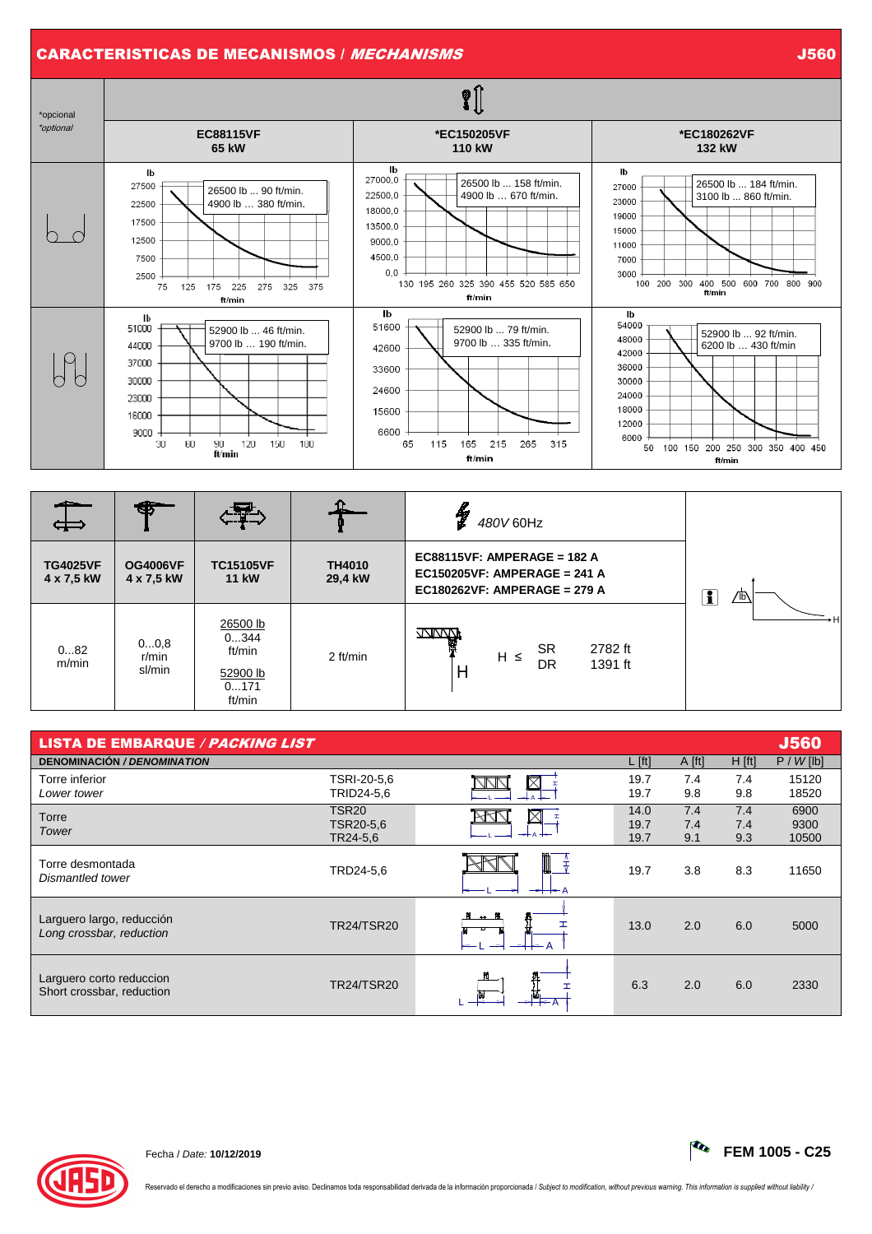## CARACTERISTICAS DE MECANISMOS / *MECHANISMS* JONALD DE LA CARACTERISTICAS DE MECANISMOS / MECHANISMS



|                               | Œ                             | ਹਾ∠                                                      |                          | y<br>480V 60Hz                                                                              |          |  |  |  |
|-------------------------------|-------------------------------|----------------------------------------------------------|--------------------------|---------------------------------------------------------------------------------------------|----------|--|--|--|
| <b>TG4025VF</b><br>4 x 7,5 kW | <b>OG4006VF</b><br>4 x 7,5 kW | <b>TC15105VF</b><br><b>11 kW</b>                         | <b>TH4010</b><br>29,4 kW | EC88115VF: AMPERAGE = 182 A<br>EC150205VF: AMPERAGE = 241 A<br>EC180262VF: AMPERAGE = 279 A | ī<br>⁄1Ы |  |  |  |
| 082<br>m/min                  | 00,8<br>$r/m$ in<br>sl/min    | 26500 lb<br>0344<br>ft/min<br>52900 lb<br>0171<br>ft/min | 2 ft/min                 | WWW<br>嚠<br><b>SR</b><br>2782 ft<br>$H \leq$<br>DR<br>1391 ft<br>H                          |          |  |  |  |

| <b>LISTA DE EMBARQUE / PACKING LIST</b>               |                                            |                        |                      |                   |                   | <b>J560</b>           |
|-------------------------------------------------------|--------------------------------------------|------------------------|----------------------|-------------------|-------------------|-----------------------|
| <b>DENOMINACIÓN / DENOMINATION</b>                    |                                            |                        | $L$ [ft]             | $A$ [ft]          | H [ft]            | $P / W$ [lb]          |
| Torre inferior<br>Lower tower                         | TSRI-20-5,6<br>TRID24-5,6                  | $\boxtimes$            | 19.7<br>19.7         | 7.4<br>9.8        | 7.4<br>9.8        | 15120<br>18520        |
| Torre<br>Tower                                        | TSR <sub>20</sub><br>TSR20-5,6<br>TR24-5,6 |                        | 14.0<br>19.7<br>19.7 | 7.4<br>7.4<br>9.1 | 7.4<br>7.4<br>9.3 | 6900<br>9300<br>10500 |
| Torre desmontada<br>Dismantled tower                  | TRD24-5,6                                  | Щ<br>$\rightarrow +$ A | 19.7                 | 3.8               | 8.3               | 11650                 |
| Larguero largo, reducción<br>Long crossbar, reduction | <b>TR24/TSR20</b>                          | $\mathbf{H}$           | 13.0                 | 2.0               | 6.0               | 5000                  |
| Larguero corto reduccion<br>Short crossbar, reduction | <b>TR24/TSR20</b>                          |                        | 6.3                  | 2.0               | 6.0               | 2330                  |